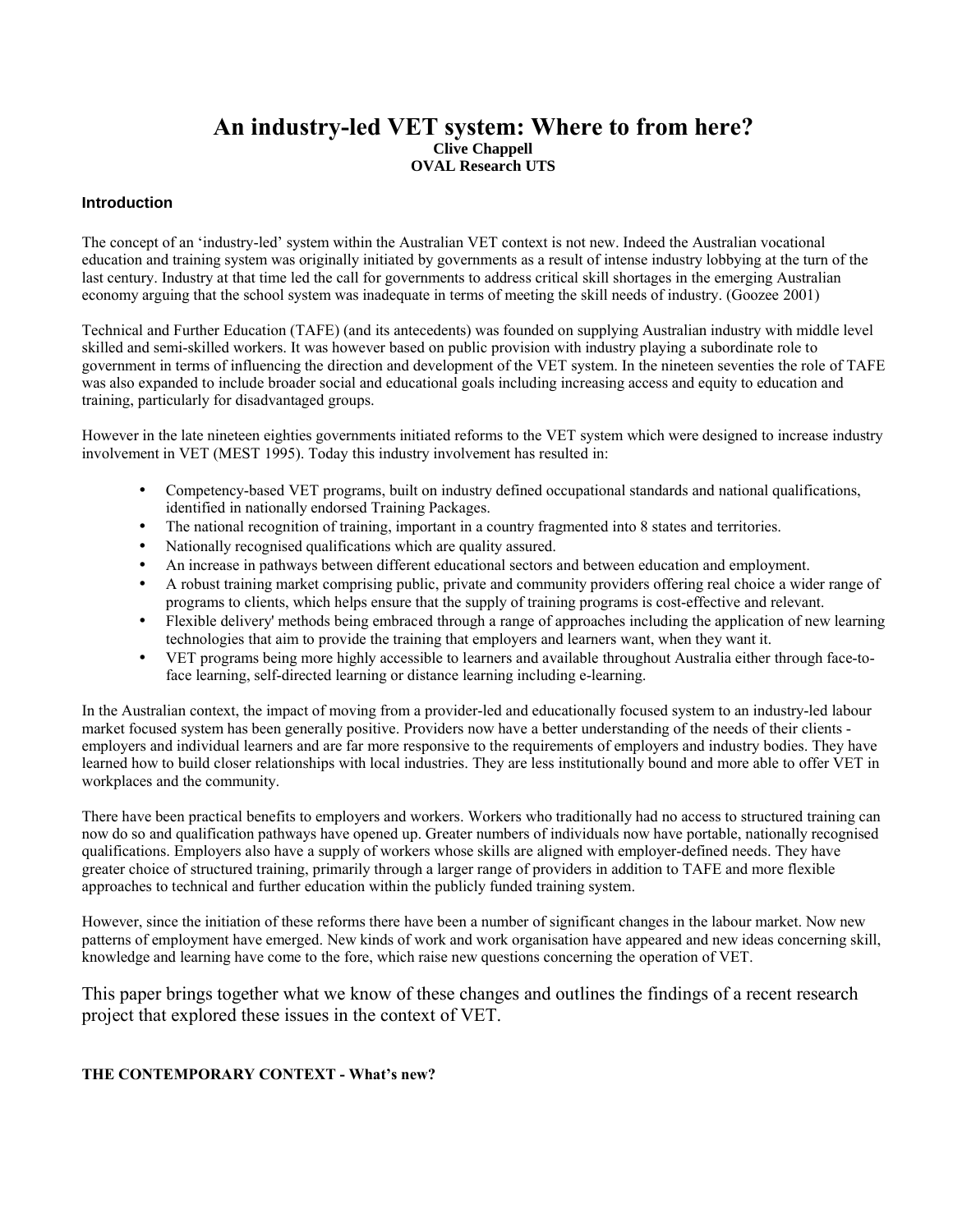### **An industry-led VET system: Where to from here? Clive Chappell OVAL Research UTS**

### **Introduction**

The concept of an 'industry-led' system within the Australian VET context is not new. Indeed the Australian vocational education and training system was originally initiated by governments as a result of intense industry lobbying at the turn of the last century. Industry at that time led the call for governments to address critical skill shortages in the emerging Australian economy arguing that the school system was inadequate in terms of meeting the skill needs of industry. (Goozee 2001)

Technical and Further Education (TAFE) (and its antecedents) was founded on supplying Australian industry with middle level skilled and semi-skilled workers. It was however based on public provision with industry playing a subordinate role to government in terms of influencing the direction and development of the VET system. In the nineteen seventies the role of TAFE was also expanded to include broader social and educational goals including increasing access and equity to education and training, particularly for disadvantaged groups.

However in the late nineteen eighties governments initiated reforms to the VET system which were designed to increase industry involvement in VET (MEST 1995). Today this industry involvement has resulted in:

- Competency-based VET programs, built on industry defined occupational standards and national qualifications, identified in nationally endorsed Training Packages.
- The national recognition of training, important in a country fragmented into 8 states and territories.
- Nationally recognised qualifications which are quality assured.
- An increase in pathways between different educational sectors and between education and employment.
- A robust training market comprising public, private and community providers offering real choice a wider range of programs to clients, which helps ensure that the supply of training programs is cost-effective and relevant.
- Flexible delivery' methods being embraced through a range of approaches including the application of new learning technologies that aim to provide the training that employers and learners want, when they want it.
- VET programs being more highly accessible to learners and available throughout Australia either through face-toface learning, self-directed learning or distance learning including e-learning.

In the Australian context, the impact of moving from a provider-led and educationally focused system to an industry-led labour market focused system has been generally positive. Providers now have a better understanding of the needs of their clients employers and individual learners and are far more responsive to the requirements of employers and industry bodies. They have learned how to build closer relationships with local industries. They are less institutionally bound and more able to offer VET in workplaces and the community.

There have been practical benefits to employers and workers. Workers who traditionally had no access to structured training can now do so and qualification pathways have opened up. Greater numbers of individuals now have portable, nationally recognised qualifications. Employers also have a supply of workers whose skills are aligned with employer-defined needs. They have greater choice of structured training, primarily through a larger range of providers in addition to TAFE and more flexible approaches to technical and further education within the publicly funded training system.

However, since the initiation of these reforms there have been a number of significant changes in the labour market. Now new patterns of employment have emerged. New kinds of work and work organisation have appeared and new ideas concerning skill, knowledge and learning have come to the fore, which raise new questions concerning the operation of VET.

This paper brings together what we know of these changes and outlines the findings of a recent research project that explored these issues in the context of VET.

### **THE CONTEMPORARY CONTEXT - What's new?**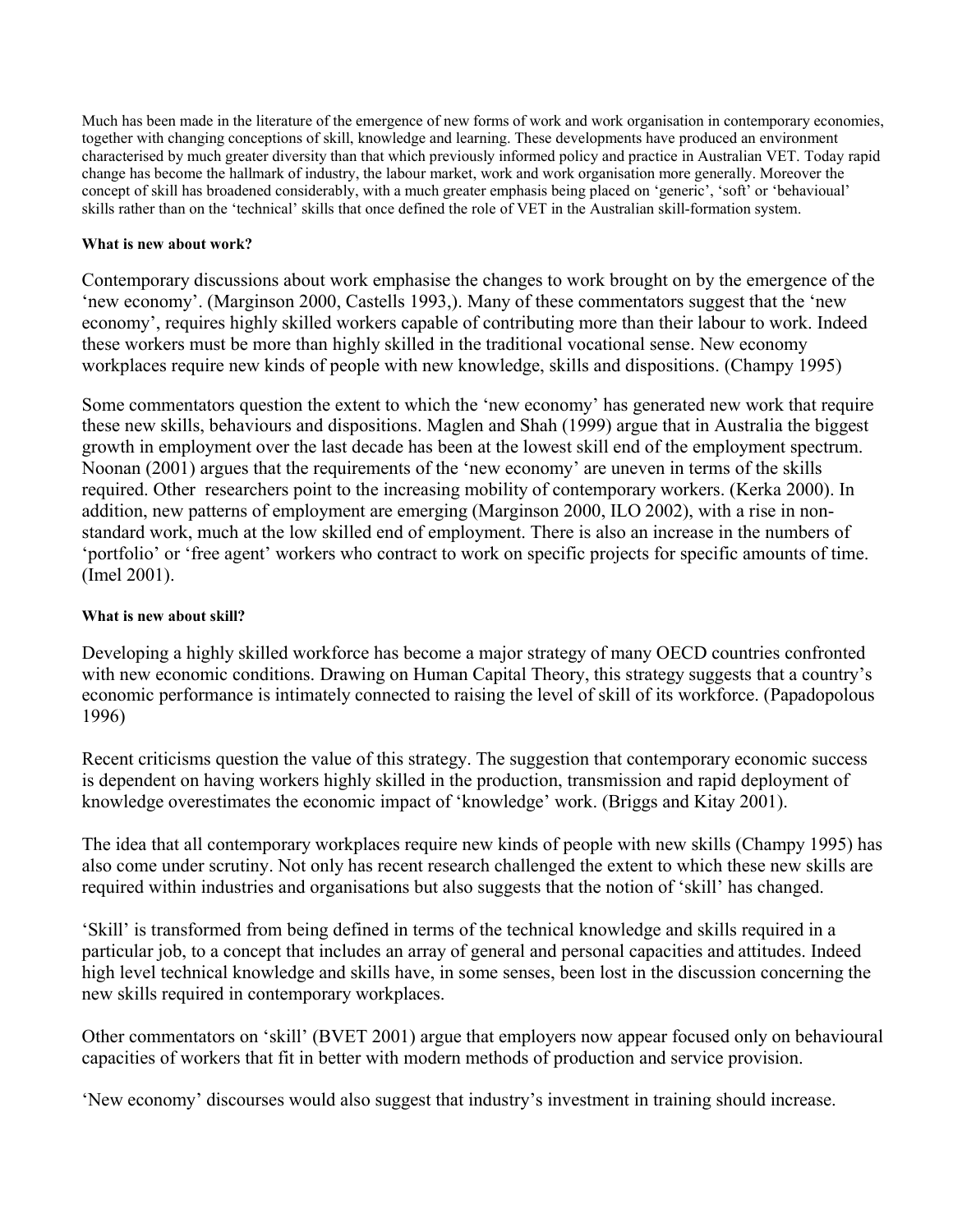Much has been made in the literature of the emergence of new forms of work and work organisation in contemporary economies, together with changing conceptions of skill, knowledge and learning. These developments have produced an environment characterised by much greater diversity than that which previously informed policy and practice in Australian VET. Today rapid change has become the hallmark of industry, the labour market, work and work organisation more generally. Moreover the concept of skill has broadened considerably, with a much greater emphasis being placed on 'generic', 'soft' or 'behavioual' skills rather than on the 'technical' skills that once defined the role of VET in the Australian skill-formation system.

### **What is new about work?**

Contemporary discussions about work emphasise the changes to work brought on by the emergence of the 'new economy'. (Marginson 2000, Castells 1993,). Many of these commentators suggest that the 'new economy', requires highly skilled workers capable of contributing more than their labour to work. Indeed these workers must be more than highly skilled in the traditional vocational sense. New economy workplaces require new kinds of people with new knowledge, skills and dispositions. (Champy 1995)

Some commentators question the extent to which the 'new economy' has generated new work that require these new skills, behaviours and dispositions. Maglen and Shah (1999) argue that in Australia the biggest growth in employment over the last decade has been at the lowest skill end of the employment spectrum. Noonan (2001) argues that the requirements of the 'new economy' are uneven in terms of the skills required. Other researchers point to the increasing mobility of contemporary workers. (Kerka 2000). In addition, new patterns of employment are emerging (Marginson 2000, ILO 2002), with a rise in nonstandard work, much at the low skilled end of employment. There is also an increase in the numbers of 'portfolio' or 'free agent' workers who contract to work on specific projects for specific amounts of time. (Imel 2001).

### **What is new about skill?**

Developing a highly skilled workforce has become a major strategy of many OECD countries confronted with new economic conditions. Drawing on Human Capital Theory, this strategy suggests that a country's economic performance is intimately connected to raising the level of skill of its workforce. (Papadopolous 1996)

Recent criticisms question the value of this strategy. The suggestion that contemporary economic success is dependent on having workers highly skilled in the production, transmission and rapid deployment of knowledge overestimates the economic impact of 'knowledge' work. (Briggs and Kitay 2001).

The idea that all contemporary workplaces require new kinds of people with new skills (Champy 1995) has also come under scrutiny. Not only has recent research challenged the extent to which these new skills are required within industries and organisations but also suggests that the notion of 'skill' has changed.

'Skill' is transformed from being defined in terms of the technical knowledge and skills required in a particular job, to a concept that includes an array of general and personal capacities and attitudes. Indeed high level technical knowledge and skills have, in some senses, been lost in the discussion concerning the new skills required in contemporary workplaces.

Other commentators on 'skill' (BVET 2001) argue that employers now appear focused only on behavioural capacities of workers that fit in better with modern methods of production and service provision.

'New economy' discourses would also suggest that industry's investment in training should increase.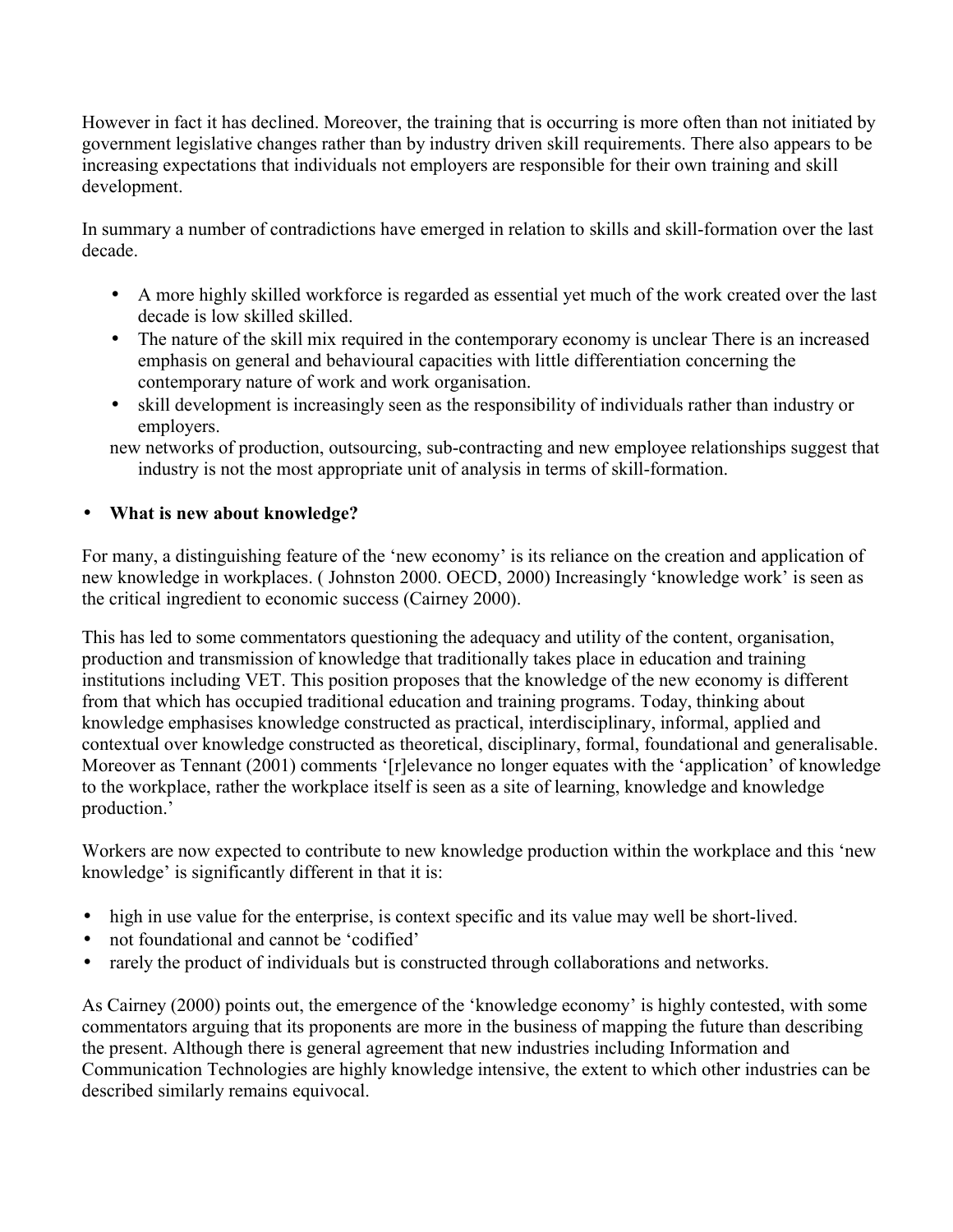However in fact it has declined. Moreover, the training that is occurring is more often than not initiated by government legislative changes rather than by industry driven skill requirements. There also appears to be increasing expectations that individuals not employers are responsible for their own training and skill development.

In summary a number of contradictions have emerged in relation to skills and skill-formation over the last decade.

- A more highly skilled workforce is regarded as essential yet much of the work created over the last decade is low skilled skilled.
- The nature of the skill mix required in the contemporary economy is unclear There is an increased emphasis on general and behavioural capacities with little differentiation concerning the contemporary nature of work and work organisation.
- skill development is increasingly seen as the responsibility of individuals rather than industry or employers.
- new networks of production, outsourcing, sub-contracting and new employee relationships suggest that industry is not the most appropriate unit of analysis in terms of skill-formation.

# • **What is new about knowledge?**

For many, a distinguishing feature of the 'new economy' is its reliance on the creation and application of new knowledge in workplaces. ( Johnston 2000. OECD, 2000) Increasingly 'knowledge work' is seen as the critical ingredient to economic success (Cairney 2000).

This has led to some commentators questioning the adequacy and utility of the content, organisation, production and transmission of knowledge that traditionally takes place in education and training institutions including VET. This position proposes that the knowledge of the new economy is different from that which has occupied traditional education and training programs. Today, thinking about knowledge emphasises knowledge constructed as practical, interdisciplinary, informal, applied and contextual over knowledge constructed as theoretical, disciplinary, formal, foundational and generalisable. Moreover as Tennant (2001) comments '[r]elevance no longer equates with the 'application' of knowledge to the workplace, rather the workplace itself is seen as a site of learning, knowledge and knowledge production.'

Workers are now expected to contribute to new knowledge production within the workplace and this 'new knowledge' is significantly different in that it is:

- high in use value for the enterprise, is context specific and its value may well be short-lived.
- not foundational and cannot be 'codified'
- rarely the product of individuals but is constructed through collaborations and networks.

As Cairney (2000) points out, the emergence of the 'knowledge economy' is highly contested, with some commentators arguing that its proponents are more in the business of mapping the future than describing the present. Although there is general agreement that new industries including Information and Communication Technologies are highly knowledge intensive, the extent to which other industries can be described similarly remains equivocal.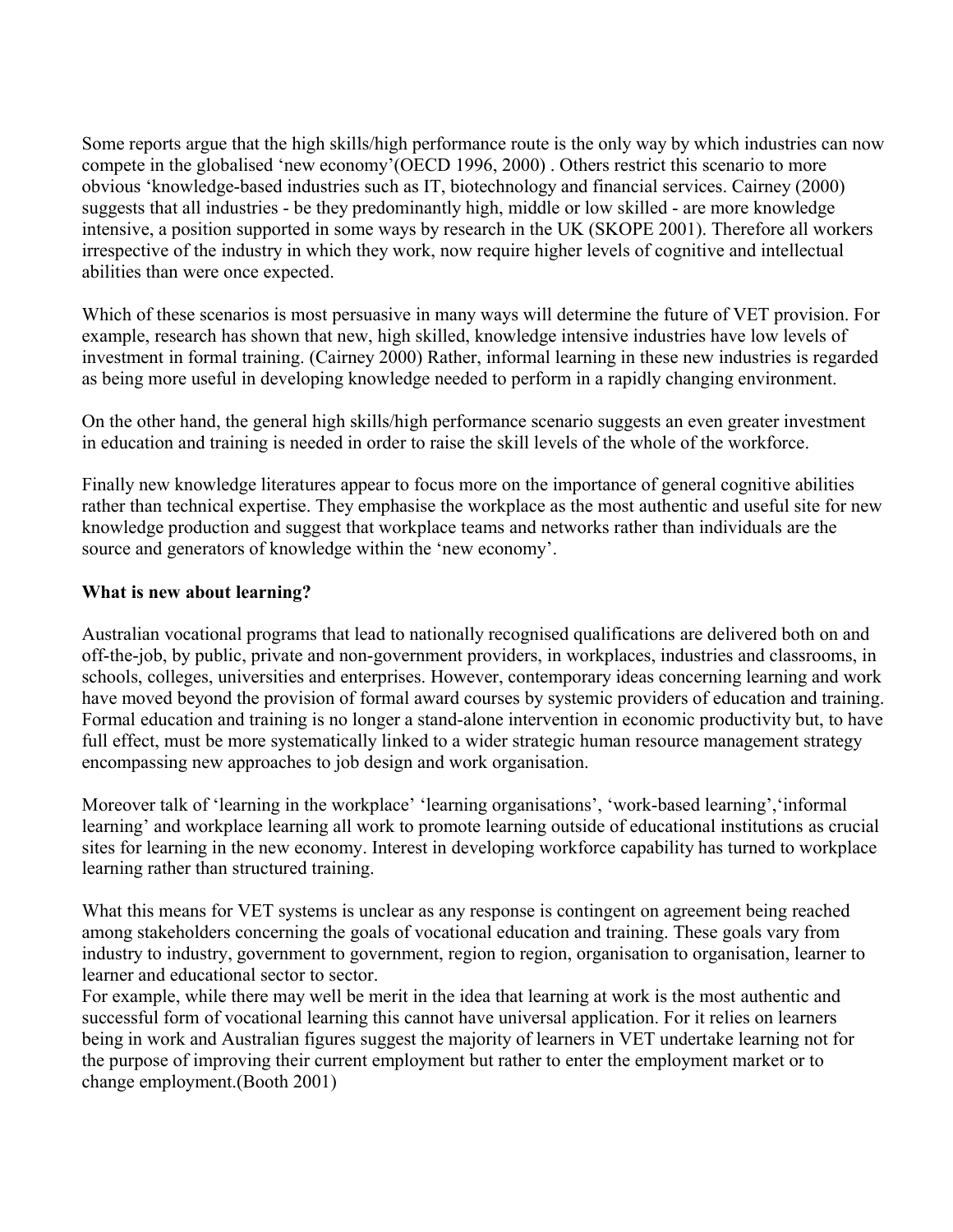Some reports argue that the high skills/high performance route is the only way by which industries can now compete in the globalised 'new economy'(OECD 1996, 2000) . Others restrict this scenario to more obvious 'knowledge-based industries such as IT, biotechnology and financial services. Cairney (2000) suggests that all industries - be they predominantly high, middle or low skilled - are more knowledge intensive, a position supported in some ways by research in the UK (SKOPE 2001). Therefore all workers irrespective of the industry in which they work, now require higher levels of cognitive and intellectual abilities than were once expected.

Which of these scenarios is most persuasive in many ways will determine the future of VET provision. For example, research has shown that new, high skilled, knowledge intensive industries have low levels of investment in formal training. (Cairney 2000) Rather, informal learning in these new industries is regarded as being more useful in developing knowledge needed to perform in a rapidly changing environment.

On the other hand, the general high skills/high performance scenario suggests an even greater investment in education and training is needed in order to raise the skill levels of the whole of the workforce.

Finally new knowledge literatures appear to focus more on the importance of general cognitive abilities rather than technical expertise. They emphasise the workplace as the most authentic and useful site for new knowledge production and suggest that workplace teams and networks rather than individuals are the source and generators of knowledge within the 'new economy'.

### **What is new about learning?**

Australian vocational programs that lead to nationally recognised qualifications are delivered both on and off-the-job, by public, private and non-government providers, in workplaces, industries and classrooms, in schools, colleges, universities and enterprises. However, contemporary ideas concerning learning and work have moved beyond the provision of formal award courses by systemic providers of education and training. Formal education and training is no longer a stand-alone intervention in economic productivity but, to have full effect, must be more systematically linked to a wider strategic human resource management strategy encompassing new approaches to job design and work organisation.

Moreover talk of 'learning in the workplace' 'learning organisations', 'work-based learning', 'informal learning' and workplace learning all work to promote learning outside of educational institutions as crucial sites for learning in the new economy. Interest in developing workforce capability has turned to workplace learning rather than structured training.

What this means for VET systems is unclear as any response is contingent on agreement being reached among stakeholders concerning the goals of vocational education and training. These goals vary from industry to industry, government to government, region to region, organisation to organisation, learner to learner and educational sector to sector.

For example, while there may well be merit in the idea that learning at work is the most authentic and successful form of vocational learning this cannot have universal application. For it relies on learners being in work and Australian figures suggest the majority of learners in VET undertake learning not for the purpose of improving their current employment but rather to enter the employment market or to change employment.(Booth 2001)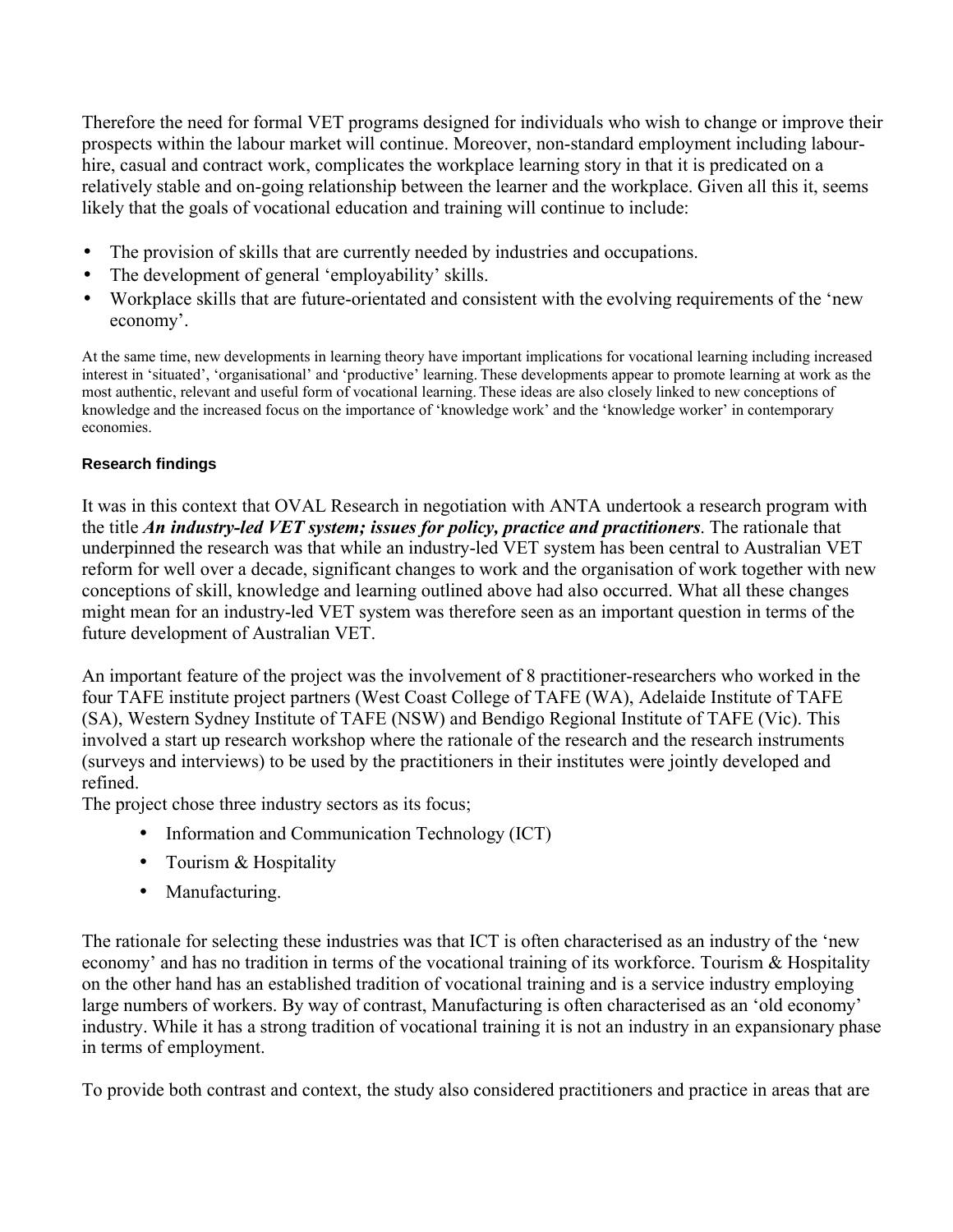Therefore the need for formal VET programs designed for individuals who wish to change or improve their prospects within the labour market will continue. Moreover, non-standard employment including labourhire, casual and contract work, complicates the workplace learning story in that it is predicated on a relatively stable and on-going relationship between the learner and the workplace. Given all this it, seems likely that the goals of vocational education and training will continue to include:

- The provision of skills that are currently needed by industries and occupations.
- The development of general 'employability' skills.
- Workplace skills that are future-orientated and consistent with the evolving requirements of the 'new economy'.

At the same time, new developments in learning theory have important implications for vocational learning including increased interest in 'situated', 'organisational' and 'productive' learning. These developments appear to promote learning at work as the most authentic, relevant and useful form of vocational learning. These ideas are also closely linked to new conceptions of knowledge and the increased focus on the importance of 'knowledge work' and the 'knowledge worker' in contemporary economies.

### **Research findings**

It was in this context that OVAL Research in negotiation with ANTA undertook a research program with the title *An industry-led VET system; issues for policy, practice and practitioners*. The rationale that underpinned the research was that while an industry-led VET system has been central to Australian VET reform for well over a decade, significant changes to work and the organisation of work together with new conceptions of skill, knowledge and learning outlined above had also occurred. What all these changes might mean for an industry-led VET system was therefore seen as an important question in terms of the future development of Australian VET.

An important feature of the project was the involvement of 8 practitioner-researchers who worked in the four TAFE institute project partners (West Coast College of TAFE (WA), Adelaide Institute of TAFE (SA), Western Sydney Institute of TAFE (NSW) and Bendigo Regional Institute of TAFE (Vic). This involved a start up research workshop where the rationale of the research and the research instruments (surveys and interviews) to be used by the practitioners in their institutes were jointly developed and refined.

The project chose three industry sectors as its focus;

- Information and Communication Technology (ICT)
- Tourism & Hospitality
- Manufacturing.

The rationale for selecting these industries was that ICT is often characterised as an industry of the 'new economy' and has no tradition in terms of the vocational training of its workforce. Tourism & Hospitality on the other hand has an established tradition of vocational training and is a service industry employing large numbers of workers. By way of contrast, Manufacturing is often characterised as an 'old economy' industry. While it has a strong tradition of vocational training it is not an industry in an expansionary phase in terms of employment.

To provide both contrast and context, the study also considered practitioners and practice in areas that are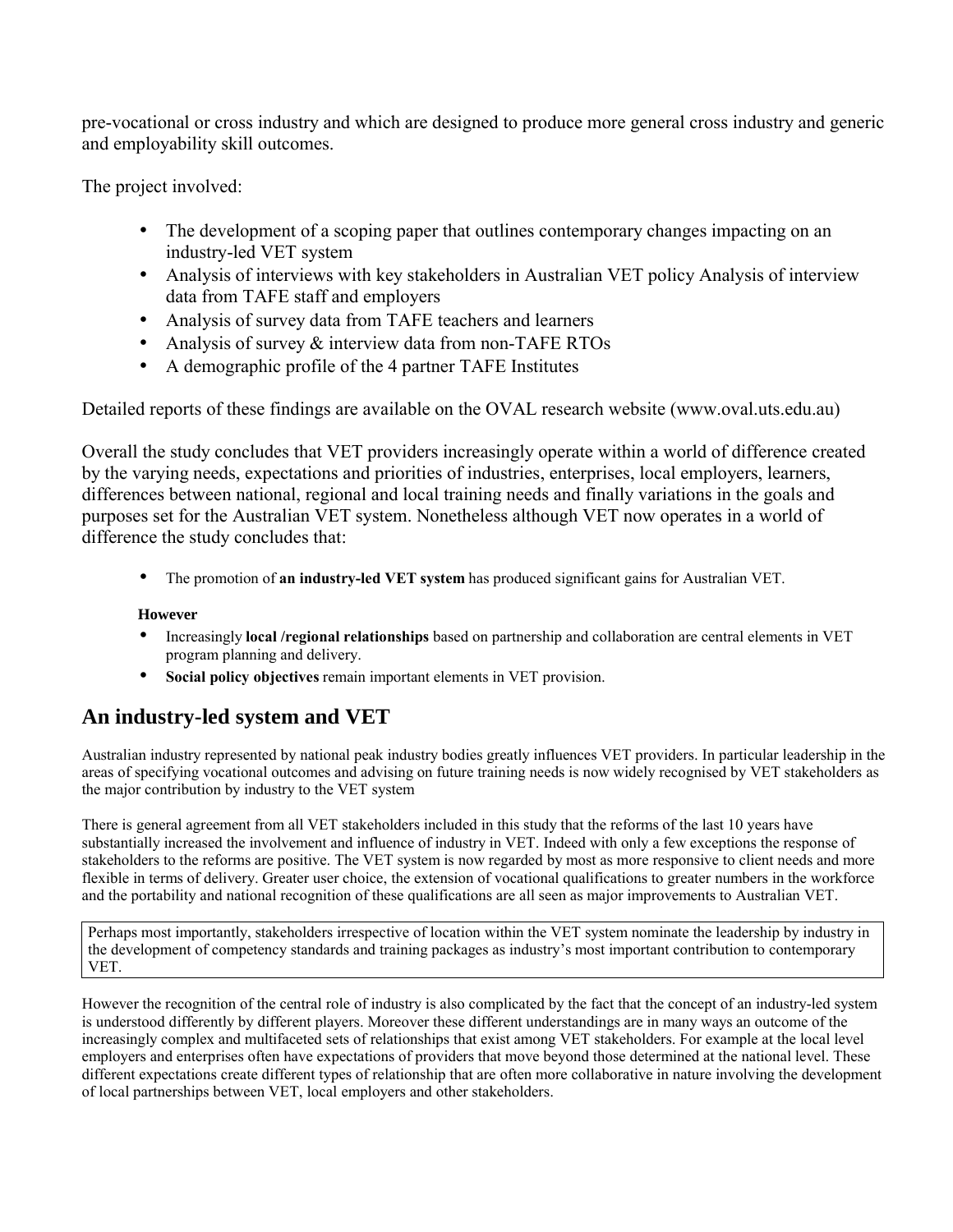pre-vocational or cross industry and which are designed to produce more general cross industry and generic and employability skill outcomes.

The project involved:

- The development of a scoping paper that outlines contemporary changes impacting on an industry-led VET system
- Analysis of interviews with key stakeholders in Australian VET policy Analysis of interview data from TAFE staff and employers
- Analysis of survey data from TAFE teachers and learners
- Analysis of survey & interview data from non-TAFE RTOs
- A demographic profile of the 4 partner TAFE Institutes

Detailed reports of these findings are available on the OVAL research website (www.oval.uts.edu.au)

Overall the study concludes that VET providers increasingly operate within a world of difference created by the varying needs, expectations and priorities of industries, enterprises, local employers, learners, differences between national, regional and local training needs and finally variations in the goals and purposes set for the Australian VET system. Nonetheless although VET now operates in a world of difference the study concludes that:

• The promotion of **an industry-led VET system** has produced significant gains for Australian VET.

### **However**

- Increasingly **local /regional relationships** based on partnership and collaboration are central elements in VET program planning and delivery.
- **Social policy objectives** remain important elements in VET provision.

# **An industry-led system and VET**

Australian industry represented by national peak industry bodies greatly influences VET providers. In particular leadership in the areas of specifying vocational outcomes and advising on future training needs is now widely recognised by VET stakeholders as the major contribution by industry to the VET system

There is general agreement from all VET stakeholders included in this study that the reforms of the last 10 years have substantially increased the involvement and influence of industry in VET. Indeed with only a few exceptions the response of stakeholders to the reforms are positive. The VET system is now regarded by most as more responsive to client needs and more flexible in terms of delivery. Greater user choice, the extension of vocational qualifications to greater numbers in the workforce and the portability and national recognition of these qualifications are all seen as major improvements to Australian VET.

Perhaps most importantly, stakeholders irrespective of location within the VET system nominate the leadership by industry in the development of competency standards and training packages as industry's most important contribution to contemporary VET.

However the recognition of the central role of industry is also complicated by the fact that the concept of an industry-led system is understood differently by different players. Moreover these different understandings are in many ways an outcome of the increasingly complex and multifaceted sets of relationships that exist among VET stakeholders. For example at the local level employers and enterprises often have expectations of providers that move beyond those determined at the national level. These different expectations create different types of relationship that are often more collaborative in nature involving the development of local partnerships between VET, local employers and other stakeholders.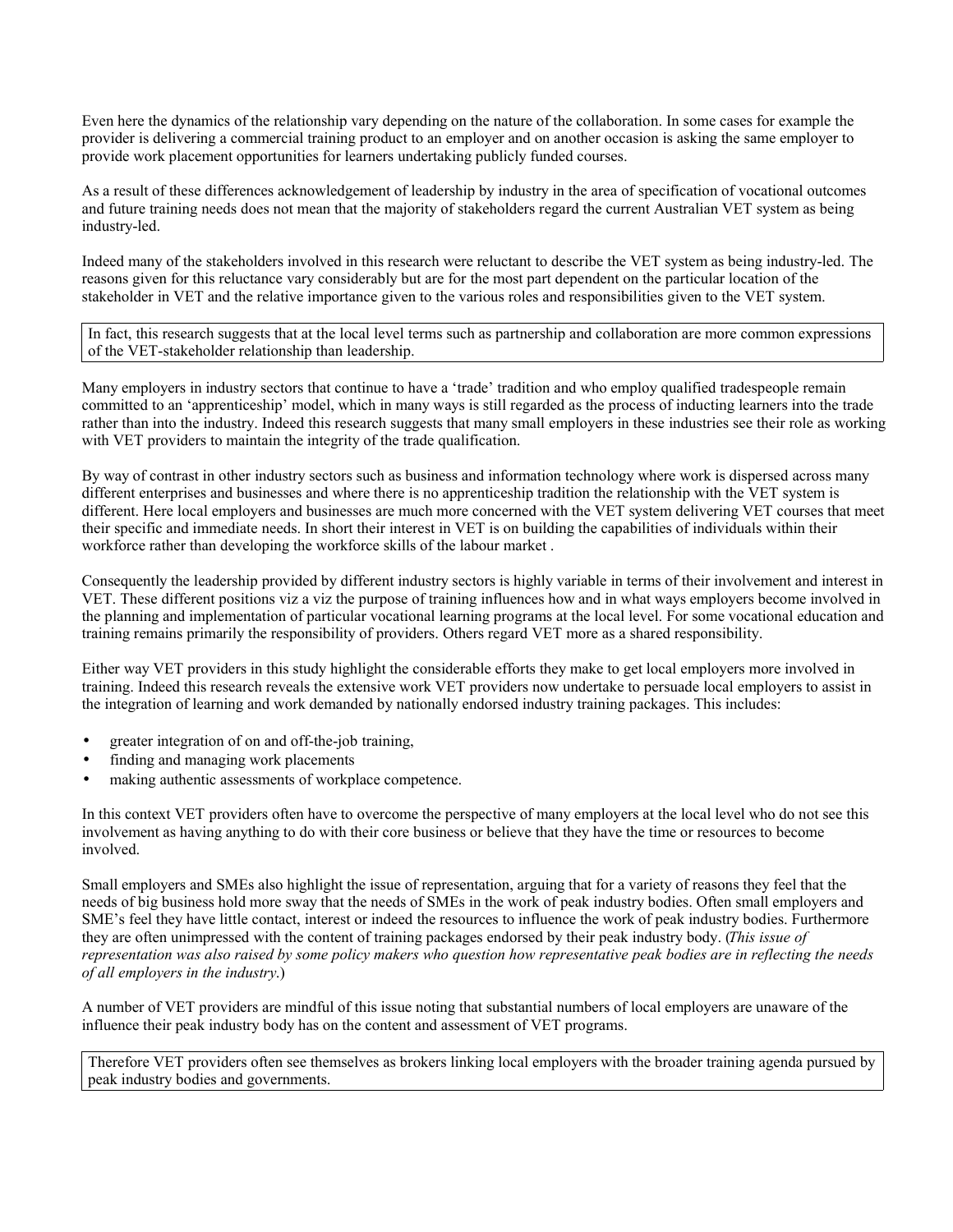Even here the dynamics of the relationship vary depending on the nature of the collaboration. In some cases for example the provider is delivering a commercial training product to an employer and on another occasion is asking the same employer to provide work placement opportunities for learners undertaking publicly funded courses.

As a result of these differences acknowledgement of leadership by industry in the area of specification of vocational outcomes and future training needs does not mean that the majority of stakeholders regard the current Australian VET system as being industry-led.

Indeed many of the stakeholders involved in this research were reluctant to describe the VET system as being industry-led. The reasons given for this reluctance vary considerably but are for the most part dependent on the particular location of the stakeholder in VET and the relative importance given to the various roles and responsibilities given to the VET system.

In fact, this research suggests that at the local level terms such as partnership and collaboration are more common expressions of the VET-stakeholder relationship than leadership.

Many employers in industry sectors that continue to have a 'trade' tradition and who employ qualified tradespeople remain committed to an 'apprenticeship' model, which in many ways is still regarded as the process of inducting learners into the trade rather than into the industry. Indeed this research suggests that many small employers in these industries see their role as working with VET providers to maintain the integrity of the trade qualification.

By way of contrast in other industry sectors such as business and information technology where work is dispersed across many different enterprises and businesses and where there is no apprenticeship tradition the relationship with the VET system is different. Here local employers and businesses are much more concerned with the VET system delivering VET courses that meet their specific and immediate needs. In short their interest in VET is on building the capabilities of individuals within their workforce rather than developing the workforce skills of the labour market .

Consequently the leadership provided by different industry sectors is highly variable in terms of their involvement and interest in VET. These different positions viz a viz the purpose of training influences how and in what ways employers become involved in the planning and implementation of particular vocational learning programs at the local level. For some vocational education and training remains primarily the responsibility of providers. Others regard VET more as a shared responsibility.

Either way VET providers in this study highlight the considerable efforts they make to get local employers more involved in training. Indeed this research reveals the extensive work VET providers now undertake to persuade local employers to assist in the integration of learning and work demanded by nationally endorsed industry training packages. This includes:

- greater integration of on and off-the-job training,
- finding and managing work placements
- making authentic assessments of workplace competence.

In this context VET providers often have to overcome the perspective of many employers at the local level who do not see this involvement as having anything to do with their core business or believe that they have the time or resources to become involved.

Small employers and SMEs also highlight the issue of representation, arguing that for a variety of reasons they feel that the needs of big business hold more sway that the needs of SMEs in the work of peak industry bodies. Often small employers and SME's feel they have little contact, interest or indeed the resources to influence the work of peak industry bodies. Furthermore they are often unimpressed with the content of training packages endorsed by their peak industry body. (*This issue of representation was also raised by some policy makers who question how representative peak bodies are in reflecting the needs of all employers in the industry*.)

A number of VET providers are mindful of this issue noting that substantial numbers of local employers are unaware of the influence their peak industry body has on the content and assessment of VET programs.

Therefore VET providers often see themselves as brokers linking local employers with the broader training agenda pursued by peak industry bodies and governments.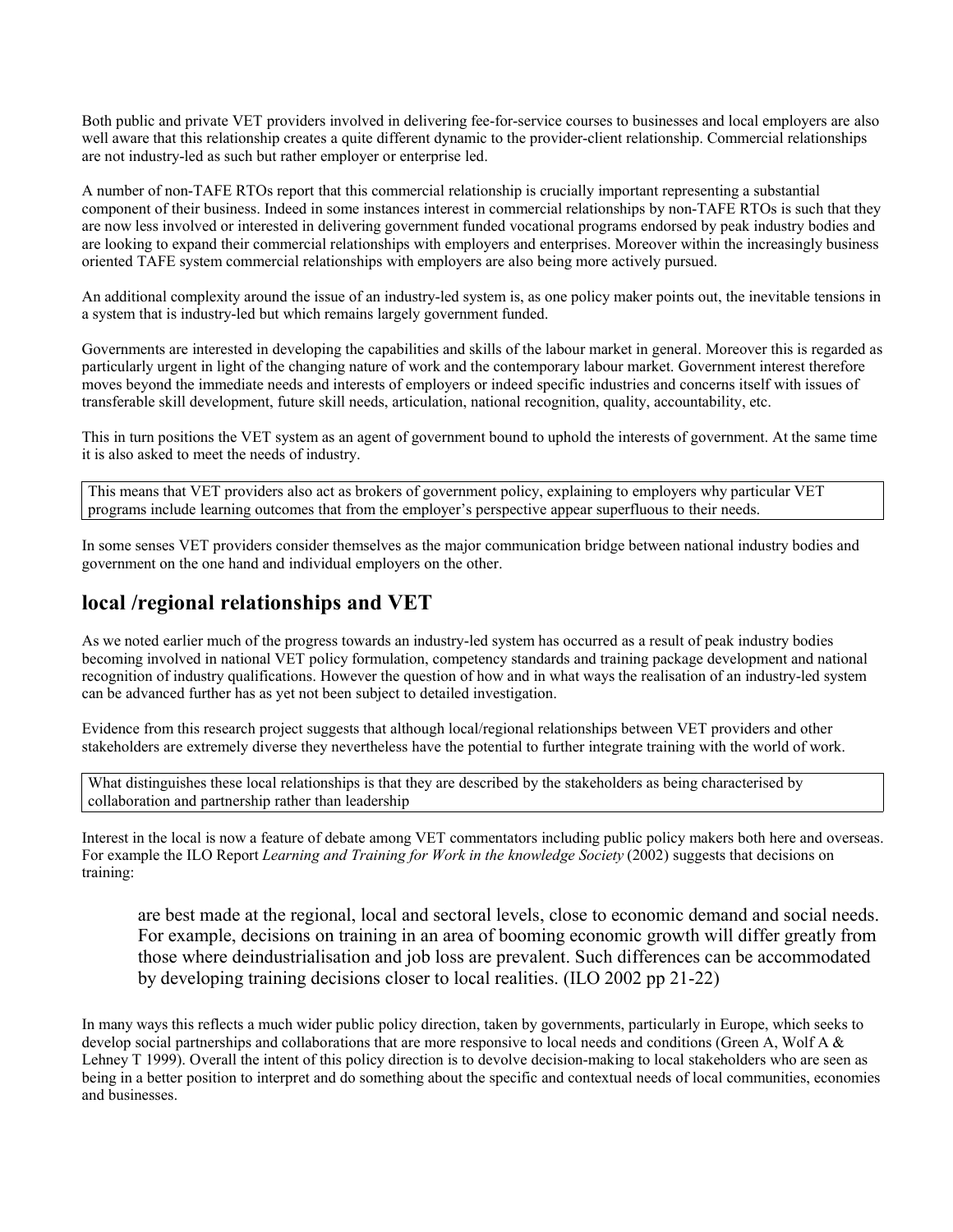Both public and private VET providers involved in delivering fee-for-service courses to businesses and local employers are also well aware that this relationship creates a quite different dynamic to the provider-client relationship. Commercial relationships are not industry-led as such but rather employer or enterprise led.

A number of non-TAFE RTOs report that this commercial relationship is crucially important representing a substantial component of their business. Indeed in some instances interest in commercial relationships by non-TAFE RTOs is such that they are now less involved or interested in delivering government funded vocational programs endorsed by peak industry bodies and are looking to expand their commercial relationships with employers and enterprises. Moreover within the increasingly business oriented TAFE system commercial relationships with employers are also being more actively pursued.

An additional complexity around the issue of an industry-led system is, as one policy maker points out, the inevitable tensions in a system that is industry-led but which remains largely government funded.

Governments are interested in developing the capabilities and skills of the labour market in general. Moreover this is regarded as particularly urgent in light of the changing nature of work and the contemporary labour market. Government interest therefore moves beyond the immediate needs and interests of employers or indeed specific industries and concerns itself with issues of transferable skill development, future skill needs, articulation, national recognition, quality, accountability, etc.

This in turn positions the VET system as an agent of government bound to uphold the interests of government. At the same time it is also asked to meet the needs of industry.

This means that VET providers also act as brokers of government policy, explaining to employers why particular VET programs include learning outcomes that from the employer's perspective appear superfluous to their needs.

In some senses VET providers consider themselves as the major communication bridge between national industry bodies and government on the one hand and individual employers on the other.

## **local /regional relationships and VET**

As we noted earlier much of the progress towards an industry-led system has occurred as a result of peak industry bodies becoming involved in national VET policy formulation, competency standards and training package development and national recognition of industry qualifications. However the question of how and in what ways the realisation of an industry-led system can be advanced further has as yet not been subject to detailed investigation.

Evidence from this research project suggests that although local/regional relationships between VET providers and other stakeholders are extremely diverse they nevertheless have the potential to further integrate training with the world of work.

What distinguishes these local relationships is that they are described by the stakeholders as being characterised by collaboration and partnership rather than leadership

Interest in the local is now a feature of debate among VET commentators including public policy makers both here and overseas. For example the ILO Report *Learning and Training for Work in the knowledge Society* (2002) suggests that decisions on training:

are best made at the regional, local and sectoral levels, close to economic demand and social needs. For example, decisions on training in an area of booming economic growth will differ greatly from those where deindustrialisation and job loss are prevalent. Such differences can be accommodated by developing training decisions closer to local realities. (ILO 2002 pp 21-22)

In many ways this reflects a much wider public policy direction, taken by governments, particularly in Europe, which seeks to develop social partnerships and collaborations that are more responsive to local needs and conditions (Green A, Wolf A & Lehney T 1999). Overall the intent of this policy direction is to devolve decision-making to local stakeholders who are seen as being in a better position to interpret and do something about the specific and contextual needs of local communities, economies and businesses.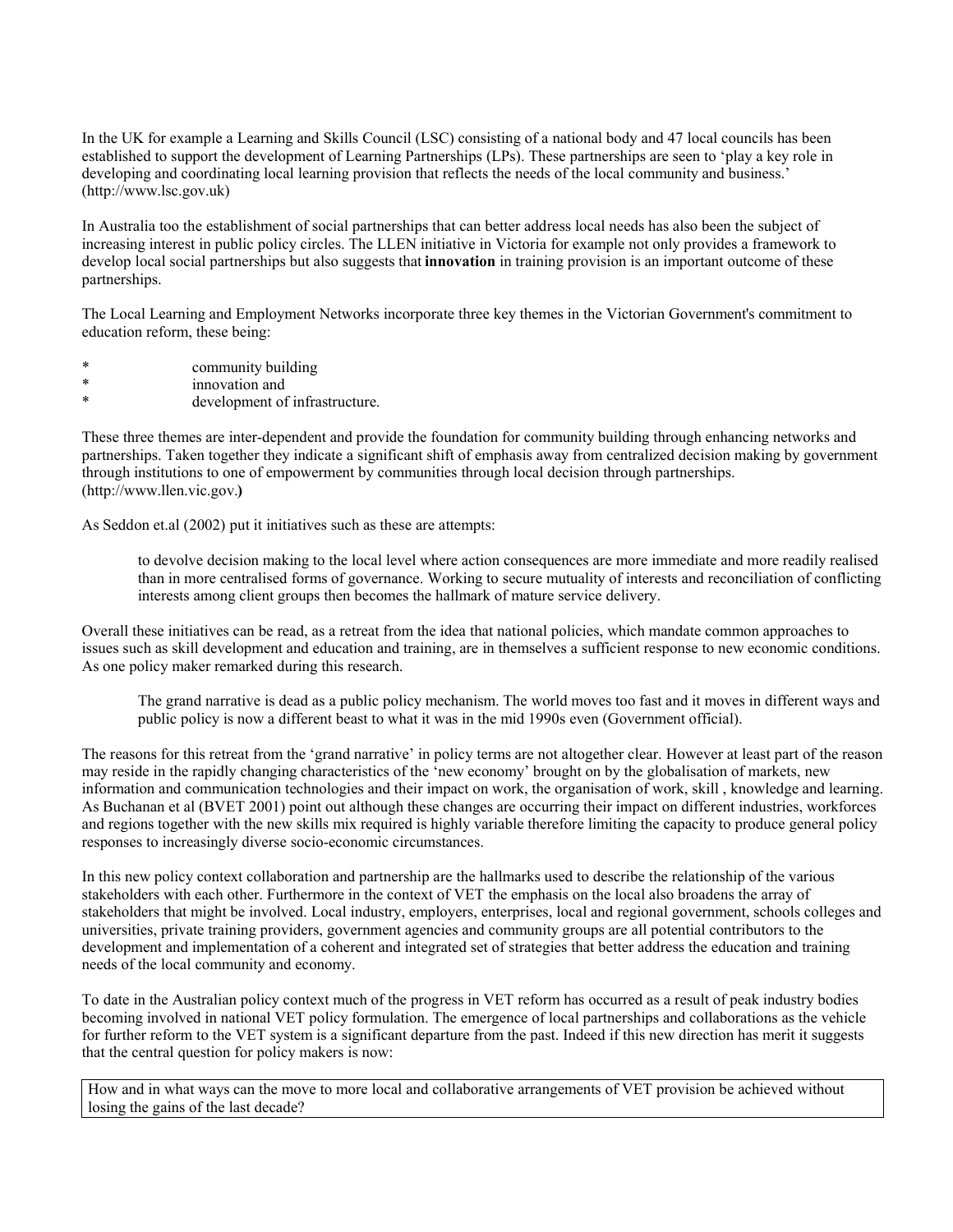In the UK for example a Learning and Skills Council (LSC) consisting of a national body and 47 local councils has been established to support the development of Learning Partnerships (LPs). These partnerships are seen to 'play a key role in developing and coordinating local learning provision that reflects the needs of the local community and business.' (http://www.lsc.gov.uk)

In Australia too the establishment of social partnerships that can better address local needs has also been the subject of increasing interest in public policy circles. The LLEN initiative in Victoria for example not only provides a framework to develop local social partnerships but also suggests that **innovation** in training provision is an important outcome of these partnerships.

The Local Learning and Employment Networks incorporate three key themes in the Victorian Government's commitment to education reform, these being:

- \* community building<br>\* innovation and
- \* innovation and<br>\* development of
- development of infrastructure.

These three themes are inter-dependent and provide the foundation for community building through enhancing networks and partnerships. Taken together they indicate a significant shift of emphasis away from centralized decision making by government through institutions to one of empowerment by communities through local decision through partnerships. (http://www.llen.vic.gov.**)**

As Seddon et.al (2002) put it initiatives such as these are attempts:

to devolve decision making to the local level where action consequences are more immediate and more readily realised than in more centralised forms of governance. Working to secure mutuality of interests and reconciliation of conflicting interests among client groups then becomes the hallmark of mature service delivery.

Overall these initiatives can be read, as a retreat from the idea that national policies, which mandate common approaches to issues such as skill development and education and training, are in themselves a sufficient response to new economic conditions. As one policy maker remarked during this research.

The grand narrative is dead as a public policy mechanism. The world moves too fast and it moves in different ways and public policy is now a different beast to what it was in the mid 1990s even (Government official).

The reasons for this retreat from the 'grand narrative' in policy terms are not altogether clear. However at least part of the reason may reside in the rapidly changing characteristics of the 'new economy' brought on by the globalisation of markets, new information and communication technologies and their impact on work, the organisation of work, skill , knowledge and learning. As Buchanan et al (BVET 2001) point out although these changes are occurring their impact on different industries, workforces and regions together with the new skills mix required is highly variable therefore limiting the capacity to produce general policy responses to increasingly diverse socio-economic circumstances.

In this new policy context collaboration and partnership are the hallmarks used to describe the relationship of the various stakeholders with each other. Furthermore in the context of VET the emphasis on the local also broadens the array of stakeholders that might be involved. Local industry, employers, enterprises, local and regional government, schools colleges and universities, private training providers, government agencies and community groups are all potential contributors to the development and implementation of a coherent and integrated set of strategies that better address the education and training needs of the local community and economy.

To date in the Australian policy context much of the progress in VET reform has occurred as a result of peak industry bodies becoming involved in national VET policy formulation. The emergence of local partnerships and collaborations as the vehicle for further reform to the VET system is a significant departure from the past. Indeed if this new direction has merit it suggests that the central question for policy makers is now:

How and in what ways can the move to more local and collaborative arrangements of VET provision be achieved without losing the gains of the last decade?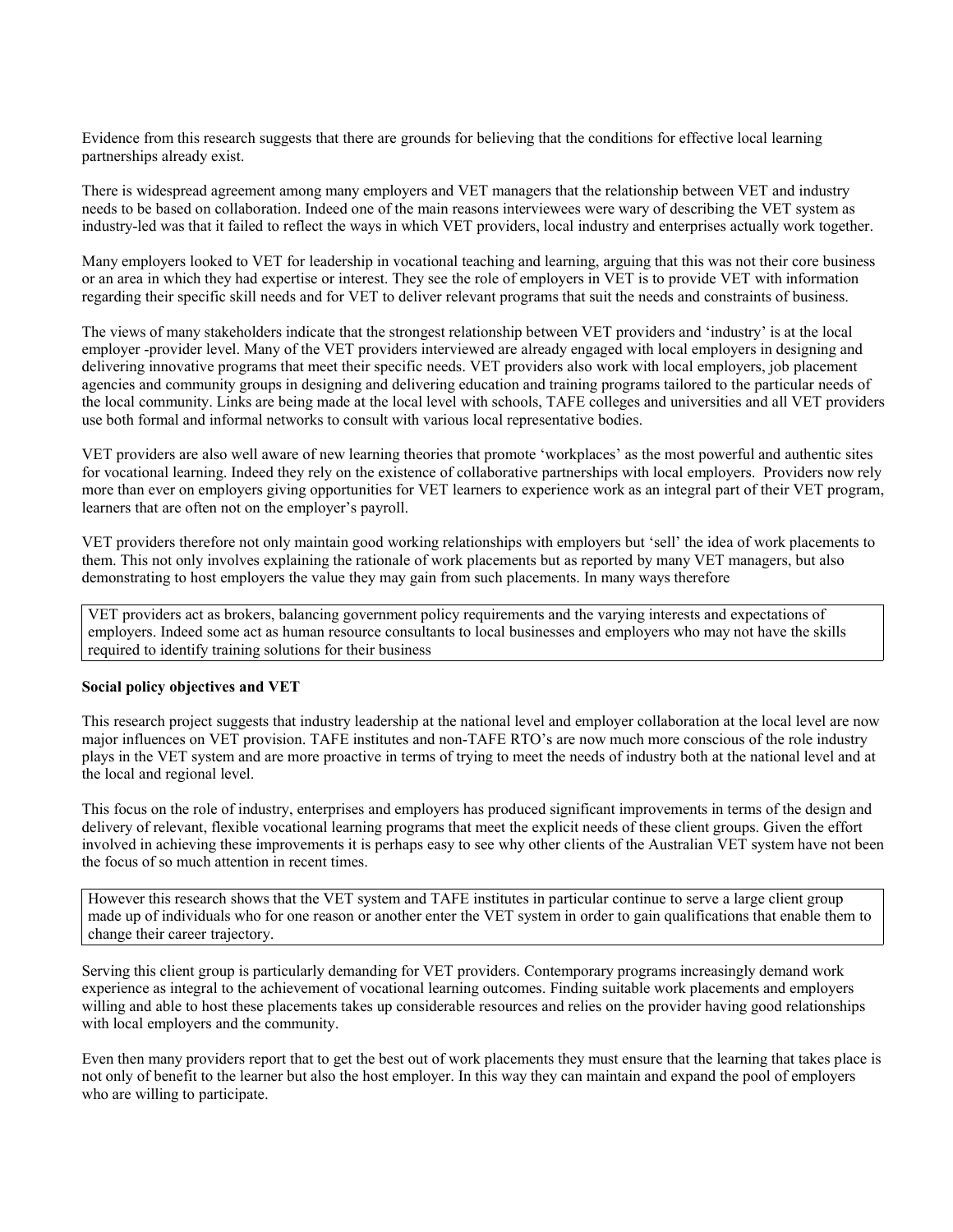Evidence from this research suggests that there are grounds for believing that the conditions for effective local learning partnerships already exist.

There is widespread agreement among many employers and VET managers that the relationship between VET and industry needs to be based on collaboration. Indeed one of the main reasons interviewees were wary of describing the VET system as industry-led was that it failed to reflect the ways in which VET providers, local industry and enterprises actually work together.

Many employers looked to VET for leadership in vocational teaching and learning, arguing that this was not their core business or an area in which they had expertise or interest. They see the role of employers in VET is to provide VET with information regarding their specific skill needs and for VET to deliver relevant programs that suit the needs and constraints of business.

The views of many stakeholders indicate that the strongest relationship between VET providers and 'industry' is at the local employer -provider level. Many of the VET providers interviewed are already engaged with local employers in designing and delivering innovative programs that meet their specific needs. VET providers also work with local employers, job placement agencies and community groups in designing and delivering education and training programs tailored to the particular needs of the local community. Links are being made at the local level with schools, TAFE colleges and universities and all VET providers use both formal and informal networks to consult with various local representative bodies.

VET providers are also well aware of new learning theories that promote 'workplaces' as the most powerful and authentic sites for vocational learning. Indeed they rely on the existence of collaborative partnerships with local employers. Providers now rely more than ever on employers giving opportunities for VET learners to experience work as an integral part of their VET program, learners that are often not on the employer's payroll.

VET providers therefore not only maintain good working relationships with employers but 'sell' the idea of work placements to them. This not only involves explaining the rationale of work placements but as reported by many VET managers, but also demonstrating to host employers the value they may gain from such placements. In many ways therefore

VET providers act as brokers, balancing government policy requirements and the varying interests and expectations of employers. Indeed some act as human resource consultants to local businesses and employers who may not have the skills required to identify training solutions for their business

#### **Social policy objectives and VET**

This research project suggests that industry leadership at the national level and employer collaboration at the local level are now major influences on VET provision. TAFE institutes and non-TAFE RTO's are now much more conscious of the role industry plays in the VET system and are more proactive in terms of trying to meet the needs of industry both at the national level and at the local and regional level.

This focus on the role of industry, enterprises and employers has produced significant improvements in terms of the design and delivery of relevant, flexible vocational learning programs that meet the explicit needs of these client groups. Given the effort involved in achieving these improvements it is perhaps easy to see why other clients of the Australian VET system have not been the focus of so much attention in recent times.

However this research shows that the VET system and TAFE institutes in particular continue to serve a large client group made up of individuals who for one reason or another enter the VET system in order to gain qualifications that enable them to change their career trajectory.

Serving this client group is particularly demanding for VET providers. Contemporary programs increasingly demand work experience as integral to the achievement of vocational learning outcomes. Finding suitable work placements and employers willing and able to host these placements takes up considerable resources and relies on the provider having good relationships with local employers and the community.

Even then many providers report that to get the best out of work placements they must ensure that the learning that takes place is not only of benefit to the learner but also the host employer. In this way they can maintain and expand the pool of employers who are willing to participate.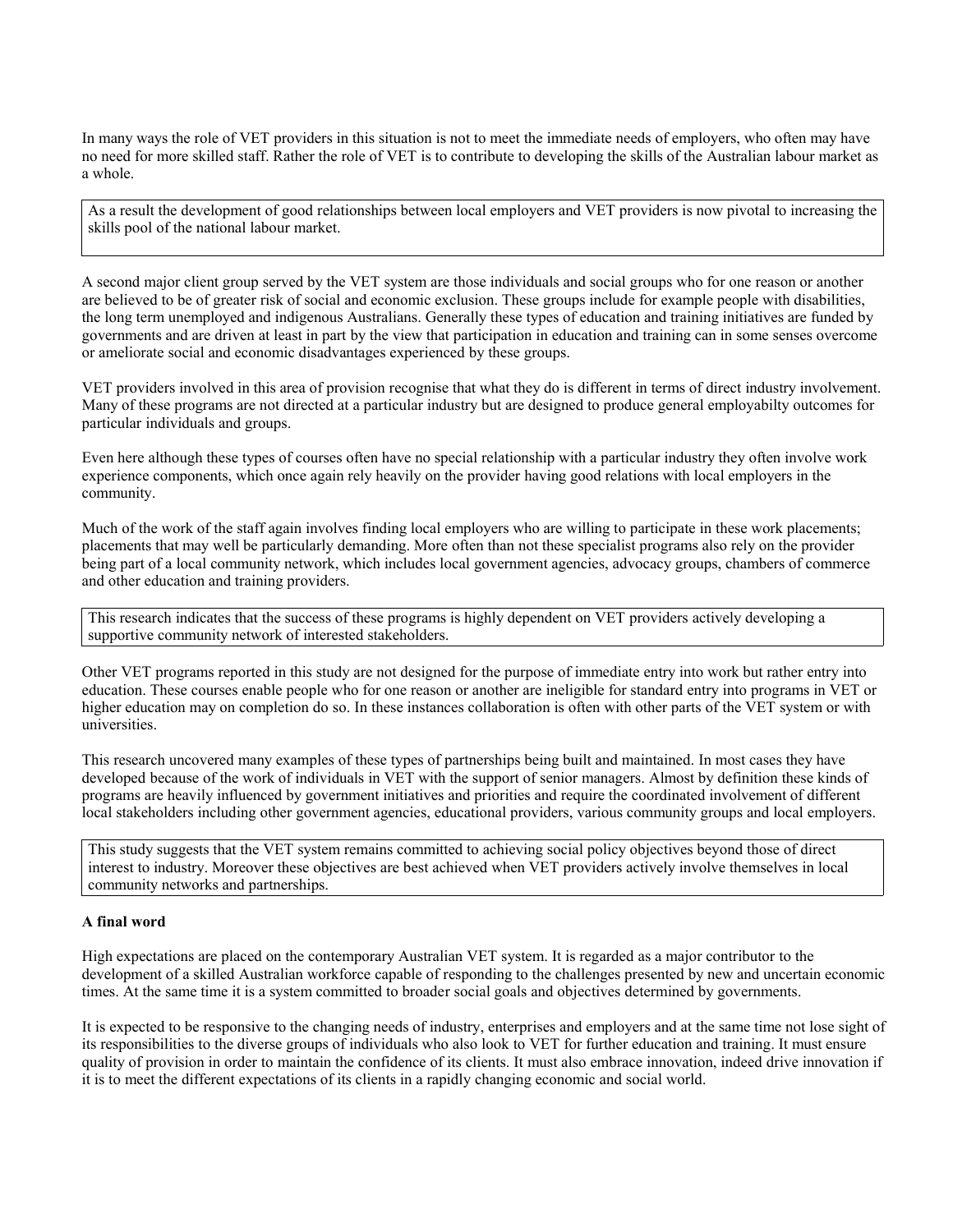In many ways the role of VET providers in this situation is not to meet the immediate needs of employers, who often may have no need for more skilled staff. Rather the role of VET is to contribute to developing the skills of the Australian labour market as a whole.

As a result the development of good relationships between local employers and VET providers is now pivotal to increasing the skills pool of the national labour market.

A second major client group served by the VET system are those individuals and social groups who for one reason or another are believed to be of greater risk of social and economic exclusion. These groups include for example people with disabilities, the long term unemployed and indigenous Australians. Generally these types of education and training initiatives are funded by governments and are driven at least in part by the view that participation in education and training can in some senses overcome or ameliorate social and economic disadvantages experienced by these groups.

VET providers involved in this area of provision recognise that what they do is different in terms of direct industry involvement. Many of these programs are not directed at a particular industry but are designed to produce general employabilty outcomes for particular individuals and groups.

Even here although these types of courses often have no special relationship with a particular industry they often involve work experience components, which once again rely heavily on the provider having good relations with local employers in the community.

Much of the work of the staff again involves finding local employers who are willing to participate in these work placements; placements that may well be particularly demanding. More often than not these specialist programs also rely on the provider being part of a local community network, which includes local government agencies, advocacy groups, chambers of commerce and other education and training providers.

This research indicates that the success of these programs is highly dependent on VET providers actively developing a supportive community network of interested stakeholders.

Other VET programs reported in this study are not designed for the purpose of immediate entry into work but rather entry into education. These courses enable people who for one reason or another are ineligible for standard entry into programs in VET or higher education may on completion do so. In these instances collaboration is often with other parts of the VET system or with universities.

This research uncovered many examples of these types of partnerships being built and maintained. In most cases they have developed because of the work of individuals in VET with the support of senior managers. Almost by definition these kinds of programs are heavily influenced by government initiatives and priorities and require the coordinated involvement of different local stakeholders including other government agencies, educational providers, various community groups and local employers.

This study suggests that the VET system remains committed to achieving social policy objectives beyond those of direct interest to industry. Moreover these objectives are best achieved when VET providers actively involve themselves in local community networks and partnerships.

### **A final word**

High expectations are placed on the contemporary Australian VET system. It is regarded as a major contributor to the development of a skilled Australian workforce capable of responding to the challenges presented by new and uncertain economic times. At the same time it is a system committed to broader social goals and objectives determined by governments.

It is expected to be responsive to the changing needs of industry, enterprises and employers and at the same time not lose sight of its responsibilities to the diverse groups of individuals who also look to VET for further education and training. It must ensure quality of provision in order to maintain the confidence of its clients. It must also embrace innovation, indeed drive innovation if it is to meet the different expectations of its clients in a rapidly changing economic and social world.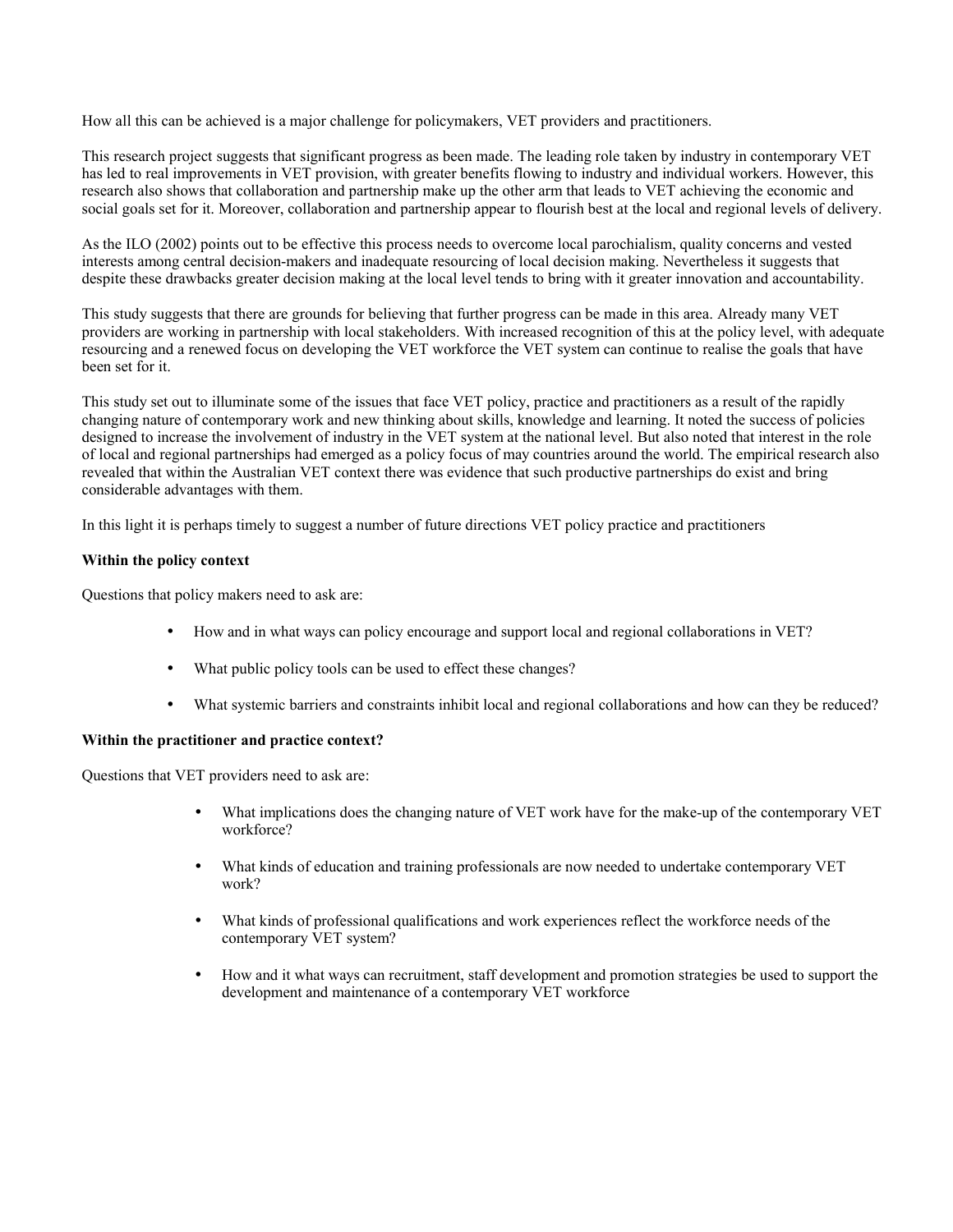How all this can be achieved is a major challenge for policymakers, VET providers and practitioners.

This research project suggests that significant progress as been made. The leading role taken by industry in contemporary VET has led to real improvements in VET provision, with greater benefits flowing to industry and individual workers. However, this research also shows that collaboration and partnership make up the other arm that leads to VET achieving the economic and social goals set for it. Moreover, collaboration and partnership appear to flourish best at the local and regional levels of delivery.

As the ILO (2002) points out to be effective this process needs to overcome local parochialism, quality concerns and vested interests among central decision-makers and inadequate resourcing of local decision making. Nevertheless it suggests that despite these drawbacks greater decision making at the local level tends to bring with it greater innovation and accountability.

This study suggests that there are grounds for believing that further progress can be made in this area. Already many VET providers are working in partnership with local stakeholders. With increased recognition of this at the policy level, with adequate resourcing and a renewed focus on developing the VET workforce the VET system can continue to realise the goals that have been set for it.

This study set out to illuminate some of the issues that face VET policy, practice and practitioners as a result of the rapidly changing nature of contemporary work and new thinking about skills, knowledge and learning. It noted the success of policies designed to increase the involvement of industry in the VET system at the national level. But also noted that interest in the role of local and regional partnerships had emerged as a policy focus of may countries around the world. The empirical research also revealed that within the Australian VET context there was evidence that such productive partnerships do exist and bring considerable advantages with them.

In this light it is perhaps timely to suggest a number of future directions VET policy practice and practitioners

### **Within the policy context**

Questions that policy makers need to ask are:

- How and in what ways can policy encourage and support local and regional collaborations in VET?
- What public policy tools can be used to effect these changes?
- What systemic barriers and constraints inhibit local and regional collaborations and how can they be reduced?

### **Within the practitioner and practice context?**

Questions that VET providers need to ask are:

- What implications does the changing nature of VET work have for the make-up of the contemporary VET workforce?
- What kinds of education and training professionals are now needed to undertake contemporary VET work?
- What kinds of professional qualifications and work experiences reflect the workforce needs of the contemporary VET system?
- How and it what ways can recruitment, staff development and promotion strategies be used to support the development and maintenance of a contemporary VET workforce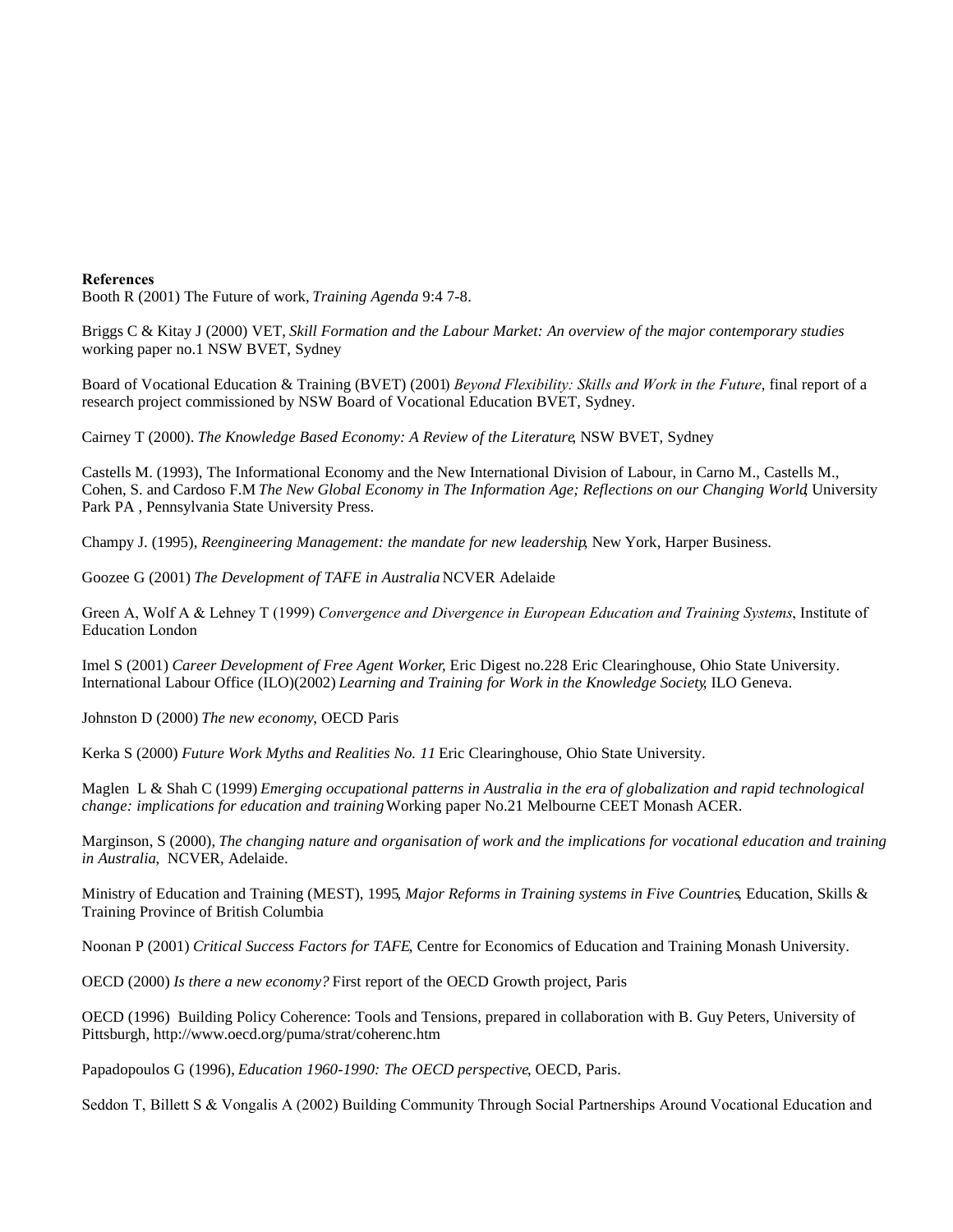#### **References**

Booth R (2001) The Future of work,*Training Agenda* 9:4 7-8.

Briggs C & Kitay J (2000) VET, *Skill Formation and the Labour Market: An overview of the major contemporary studies* working paper no.1 NSW BVET, Sydney

Board of Vocational Education & Training (BVET) (2001) *Beyond Flexibility: Skills and Work in the Future*, final report of a research project commissioned by NSW Board of Vocational Education BVET, Sydney.

Cairney T (2000). *The Knowledge Based Economy: A Review of the Literature*, NSW BVET, Sydney

Castells M. (1993), The Informational Economy and the New International Division of Labour, in Carno M., Castells M., Cohen, S. and Cardoso F.M *The New Global Economy in The Information Age; Reflections on our Changing World*, University Park PA , Pennsylvania State University Press.

Champy J. (1995), *Reengineering Management: the mandate for new leadership*, New York, Harper Business.

Goozee G (2001) *The Development of TAFE in Australia* NCVER Adelaide

Green A, Wolf A & Lehney T (1999) *Convergence and Divergence in European Education and Training Systems*, Institute of Education London

Imel S (2001) *Career Development of Free Agent Worker*, Eric Digest no.228 Eric Clearinghouse, Ohio State University. International Labour Office (ILO)(2002)*Learning and Training for Work in the Knowledge Society*, ILO Geneva.

Johnston D (2000) *The new economy*, OECD Paris

Kerka S (2000) *Future Work Myths and Realities No. 11* Eric Clearinghouse, Ohio State University.

Maglen L & Shah C (1999) *Emerging occupational patterns in Australia in the era of globalization and rapid technological change: implications for education and training*Working paper No.21 Melbourne CEET Monash ACER.

Marginson, S (2000), The changing nature and organisation of work and the implications for vocational education and training *in Australia*, NCVER, Adelaide.

Ministry of Education and Training (MEST), 1995*, Major Reforms in Training systems in Five Countries*, Education, Skills & Training Province of British Columbia

Noonan P (2001) *Critical Success Factors for TAFE*, Centre for Economics of Education and Training Monash University.

OECD (2000) *Is there a new economy?* First report of the OECD Growth project, Paris

OECD (1996) Building Policy Coherence: Tools and Tensions, prepared in collaboration with B. Guy Peters, University of Pittsburgh, http://www.oecd.org/puma/strat/coherenc.htm

Papadopoulos G (1996), *Education 1960-1990: The OECD perspective*, OECD, Paris.

Seddon T, Billett S & Vongalis A (2002) Building Community Through Social Partnerships Around Vocational Education and